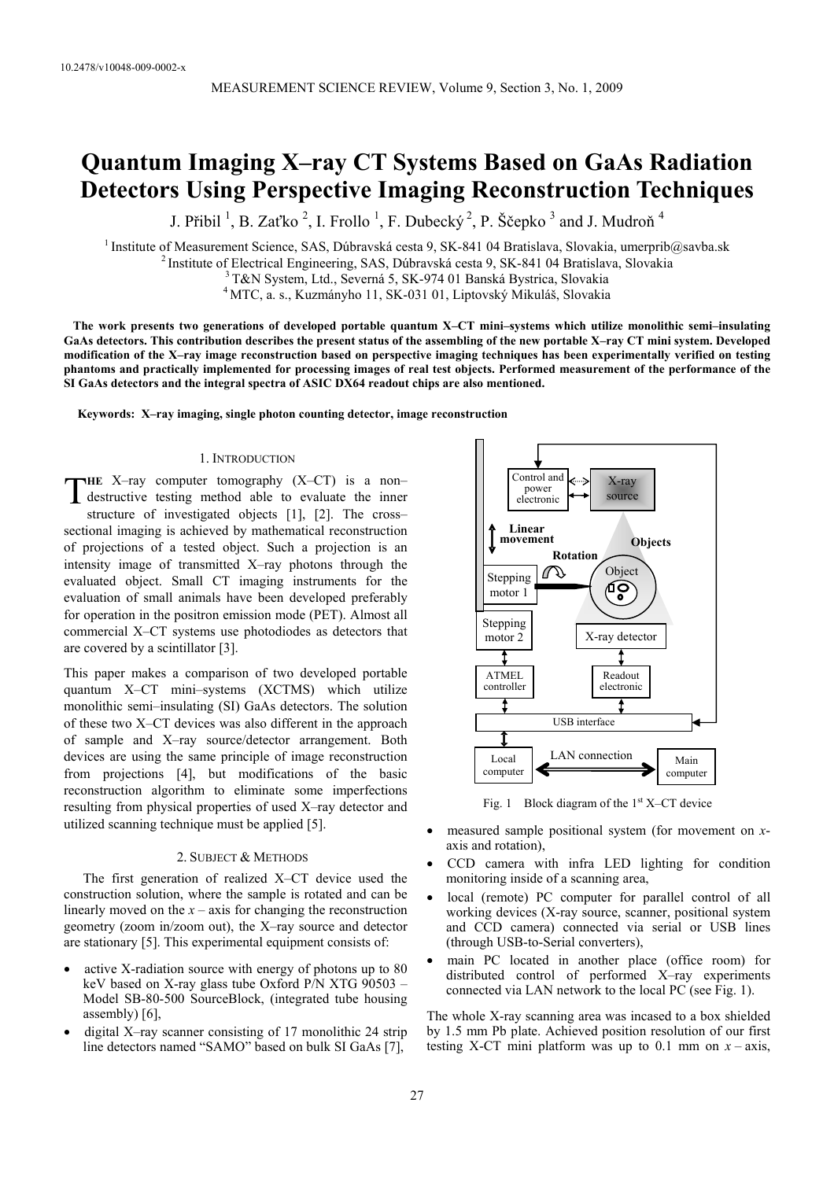# **Quantum Imaging X–ray CT Systems Based on GaAs Radiation Detectors Using Perspective Imaging Reconstruction Techniques**

J. Přibil  $\frac{1}{2}$ , B. Zaťko  $\frac{2}{3}$ , I. Frollo  $\frac{1}{2}$ , F. Dubecký  $\frac{2}{3}$ , P. Ščepko  $\frac{3}{3}$  and J. Mudroň  $\frac{4}{3}$ 

<sup>1</sup> Institute of Measurement Science, SAS, Dúbravská cesta 9, SK-841 04 Bratislava, Slovakia, umerprib@savba.sk <sup>2</sup> Institute of Electrical Engineering, SAS, Dúbravská cesta 9, SK-841 04 Bratislava, Slovakia<br><sup>3</sup> T&N Syste

4 MTC, a. s., Kuzmányho 11, SK-031 01, Liptovský Mikuláš, Slovakia

 **The work presents two generations of developed portable quantum X–CT mini–systems which utilize monolithic semi–insulating GaAs detectors. This contribution describes the present status of the assembling of the new portable X–ray CT mini system. Developed modification of the X–ray image reconstruction based on perspective imaging techniques has been experimentally verified on testing phantoms and practically implemented for processing images of real test objects. Performed measurement of the performance of the SI GaAs detectors and the integral spectra of ASIC DX64 readout chips are also mentioned.** 

**Keywords: X–ray imaging, single photon counting detector, image reconstruction** 

# 1. INTRODUCTION

**HE** X–ray computer tomography (X–CT) is a non– THE X-ray computer tomography (X-CT) is a non-<br>destructive testing method able to evaluate the inner structure of investigated objects [1], [2]. The cross– sectional imaging is achieved by mathematical reconstruction of projections of a tested object. Such a projection is an intensity image of transmitted X–ray photons through the evaluated object. Small CT imaging instruments for the evaluation of small animals have been developed preferably for operation in the positron emission mode (PET). Almost all commercial X–CT systems use photodiodes as detectors that are covered by a scintillator [3].

This paper makes a comparison of two developed portable quantum X–CT mini–systems (XCTMS) which utilize monolithic semi–insulating (SI) GaAs detectors. The solution of these two X–CT devices was also different in the approach of sample and X–ray source/detector arrangement. Both devices are using the same principle of image reconstruction from projections [4], but modifications of the basic reconstruction algorithm to eliminate some imperfections resulting from physical properties of used X–ray detector and utilized scanning technique must be applied [5].

## 2. SUBJECT & METHODS

The first generation of realized X–CT device used the construction solution, where the sample is rotated and can be linearly moved on the  $x - axis$  for changing the reconstruction geometry (zoom in/zoom out), the X–ray source and detector are stationary [5]. This experimental equipment consists of:

- active X-radiation source with energy of photons up to 80 keV based on X-ray glass tube Oxford P/N XTG 90503 – Model SB-80-500 SourceBlock, (integrated tube housing assembly) [6],
- digital X–ray scanner consisting of 17 monolithic 24 strip line detectors named "SAMO" based on bulk SI GaAs [7],



Fig. 1 Block diagram of the  $1<sup>st</sup> X-CT$  device

- measured sample positional system (for movement on *x*axis and rotation),
- CCD camera with infra LED lighting for condition monitoring inside of a scanning area,
- local (remote) PC computer for parallel control of all working devices (X-ray source, scanner, positional system and CCD camera) connected via serial or USB lines (through USB-to-Serial converters),
- main PC located in another place (office room) for distributed control of performed X–ray experiments connected via LAN network to the local PC (see Fig. 1).

The whole X-ray scanning area was incased to a box shielded by 1.5 mm Pb plate. Achieved position resolution of our first testing X-CT mini platform was up to 0.1 mm on  $x - axis$ ,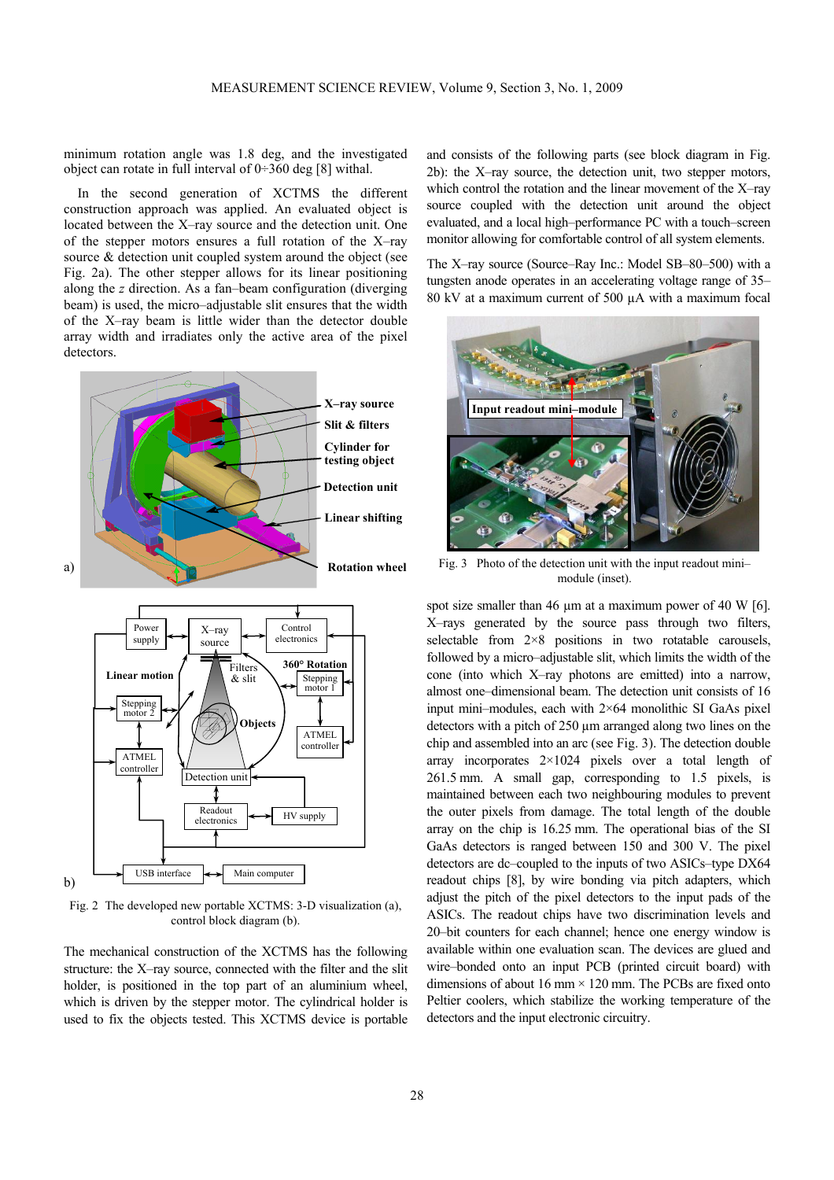minimum rotation angle was 1.8 deg, and the investigated object can rotate in full interval of  $0\nightharpoonup 360$  deg [8] withal.

In the second generation of XCTMS the different construction approach was applied. An evaluated object is located between the X–ray source and the detection unit. One of the stepper motors ensures a full rotation of the X–ray source & detection unit coupled system around the object (see Fig. 2a). The other stepper allows for its linear positioning along the *z* direction. As a fan–beam configuration (diverging beam) is used, the micro–adjustable slit ensures that the width of the X–ray beam is little wider than the detector double array width and irradiates only the active area of the pixel detectors.





Fig. 2 The developed new portable XCTMS: 3-D visualization (a), control block diagram (b).

The mechanical construction of the XCTMS has the following structure: the X–ray source, connected with the filter and the slit holder, is positioned in the top part of an aluminium wheel, which is driven by the stepper motor. The cylindrical holder is used to fix the objects tested. This XCTMS device is portable

and consists of the following parts (see block diagram in Fig. 2b): the X–ray source, the detection unit, two stepper motors, which control the rotation and the linear movement of the X–ray source coupled with the detection unit around the object evaluated, and a local high–performance PC with a touch–screen monitor allowing for comfortable control of all system elements.

The X–ray source (Source–Ray Inc.: Model SB–80–500) with a tungsten anode operates in an accelerating voltage range of 35– 80 kV at a maximum current of 500 µA with a maximum focal



Fig. 3 Photo of the detection unit with the input readout mini– module (inset).

spot size smaller than 46 um at a maximum power of 40 W [6]. X–rays generated by the source pass through two filters, selectable from  $2\times8$  positions in two rotatable carousels, followed by a micro–adjustable slit, which limits the width of the cone (into which X–ray photons are emitted) into a narrow, almost one–dimensional beam. The detection unit consists of 16 input mini–modules, each with 2×64 monolithic SI GaAs pixel detectors with a pitch of 250 µm arranged along two lines on the chip and assembled into an arc (see Fig. 3). The detection double array incorporates 2×1024 pixels over a total length of 261.5 mm. A small gap, corresponding to 1.5 pixels, is maintained between each two neighbouring modules to prevent the outer pixels from damage. The total length of the double array on the chip is 16.25 mm. The operational bias of the SI GaAs detectors is ranged between 150 and 300 V. The pixel detectors are dc–coupled to the inputs of two ASICs–type DX64 readout chips [8], by wire bonding via pitch adapters, which adjust the pitch of the pixel detectors to the input pads of the ASICs. The readout chips have two discrimination levels and 20–bit counters for each channel; hence one energy window is available within one evaluation scan. The devices are glued and wire–bonded onto an input PCB (printed circuit board) with dimensions of about 16 mm  $\times$  120 mm. The PCBs are fixed onto Peltier coolers, which stabilize the working temperature of the detectors and the input electronic circuitry.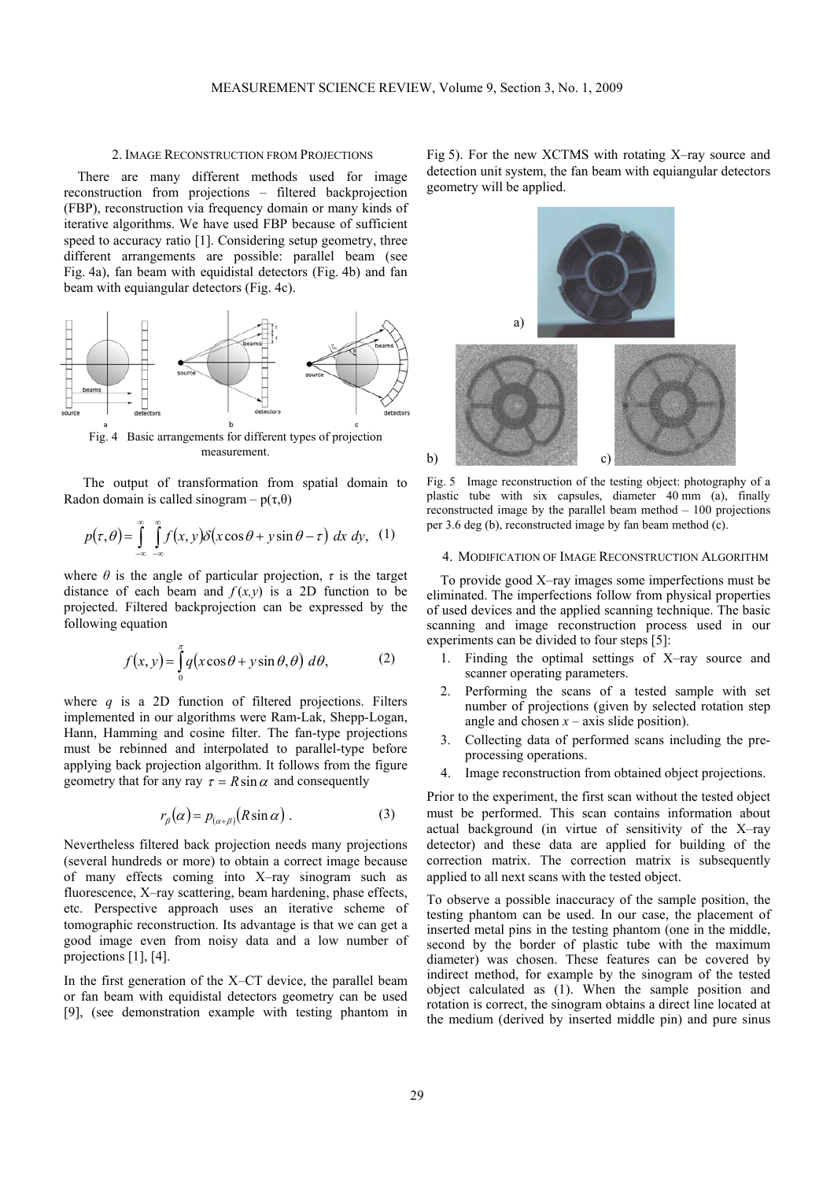## 2. IMAGE RECONSTRUCTION FROM PROJECTIONS

There are many different methods used for image reconstruction from projections – filtered backprojection (FBP), reconstruction via frequency domain or many kinds of iterative algorithms. We have used FBP because of sufficient speed to accuracy ratio [1]. Considering setup geometry, three different arrangements are possible: parallel beam (see Fig. 4a), fan beam with equidistal detectors (Fig. 4b) and fan beam with equiangular detectors (Fig. 4c).



Fig. 4 Basic arrangements for different types of projection measurement.

The output of transformation from spatial domain to Radon domain is called sinogram –  $p(\tau,\theta)$ 

$$
p(\tau,\theta) = \int_{-\infty}^{\infty} \int_{-\infty}^{\infty} f(x,y) \delta(x \cos \theta + y \sin \theta - \tau) dx dy, \quad (1)
$$

where  $\theta$  is the angle of particular projection,  $\tau$  is the target distance of each beam and  $f(x, y)$  is a 2D function to be projected. Filtered backprojection can be expressed by the following equation

$$
f(x, y) = \int_{0}^{\pi} q(x \cos \theta + y \sin \theta, \theta) d\theta,
$$
 (2)

where *q* is a 2D function of filtered projections. Filters implemented in our algorithms were Ram-Lak, Shepp-Logan, Hann, Hamming and cosine filter. The fan-type projections must be rebinned and interpolated to parallel-type before applying back projection algorithm. It follows from the figure geometry that for any ray  $\tau = R \sin \alpha$  and consequently

$$
r_{\beta}(\alpha) = p_{(\alpha+\beta)}(R\sin\alpha) \tag{3}
$$

Nevertheless filtered back projection needs many projections (several hundreds or more) to obtain a correct image because of many effects coming into X–ray sinogram such as fluorescence, X–ray scattering, beam hardening, phase effects, etc. Perspective approach uses an iterative scheme of tomographic reconstruction. Its advantage is that we can get a good image even from noisy data and a low number of projections [1], [4].

In the first generation of the X–CT device, the parallel beam or fan beam with equidistal detectors geometry can be used [9], (see demonstration example with testing phantom in Fig 5). For the new XCTMS with rotating X–ray source and detection unit system, the fan beam with equiangular detectors geometry will be applied.



Fig. 5 Image reconstruction of the testing object: photography of a plastic tube with six capsules, diameter 40 mm (a), finally reconstructed image by the parallel beam method – 100 projections per 3.6 deg (b), reconstructed image by fan beam method (c).

#### 4. MODIFICATION OF IMAGE RECONSTRUCTION ALGORITHM

To provide good X–ray images some imperfections must be eliminated. The imperfections follow from physical properties of used devices and the applied scanning technique. The basic scanning and image reconstruction process used in our experiments can be divided to four steps [5]:

- 1. Finding the optimal settings of X–ray source and scanner operating parameters.
- 2. Performing the scans of a tested sample with set number of projections (given by selected rotation step angle and chosen  $x - axis$  slide position).
- 3. Collecting data of performed scans including the preprocessing operations.
- 4. Image reconstruction from obtained object projections.

Prior to the experiment, the first scan without the tested object must be performed. This scan contains information about actual background (in virtue of sensitivity of the X–ray detector) and these data are applied for building of the correction matrix. The correction matrix is subsequently applied to all next scans with the tested object.

To observe a possible inaccuracy of the sample position, the testing phantom can be used. In our case, the placement of inserted metal pins in the testing phantom (one in the middle, second by the border of plastic tube with the maximum diameter) was chosen. These features can be covered by indirect method, for example by the sinogram of the tested object calculated as (1). When the sample position and rotation is correct, the sinogram obtains a direct line located at the medium (derived by inserted middle pin) and pure sinus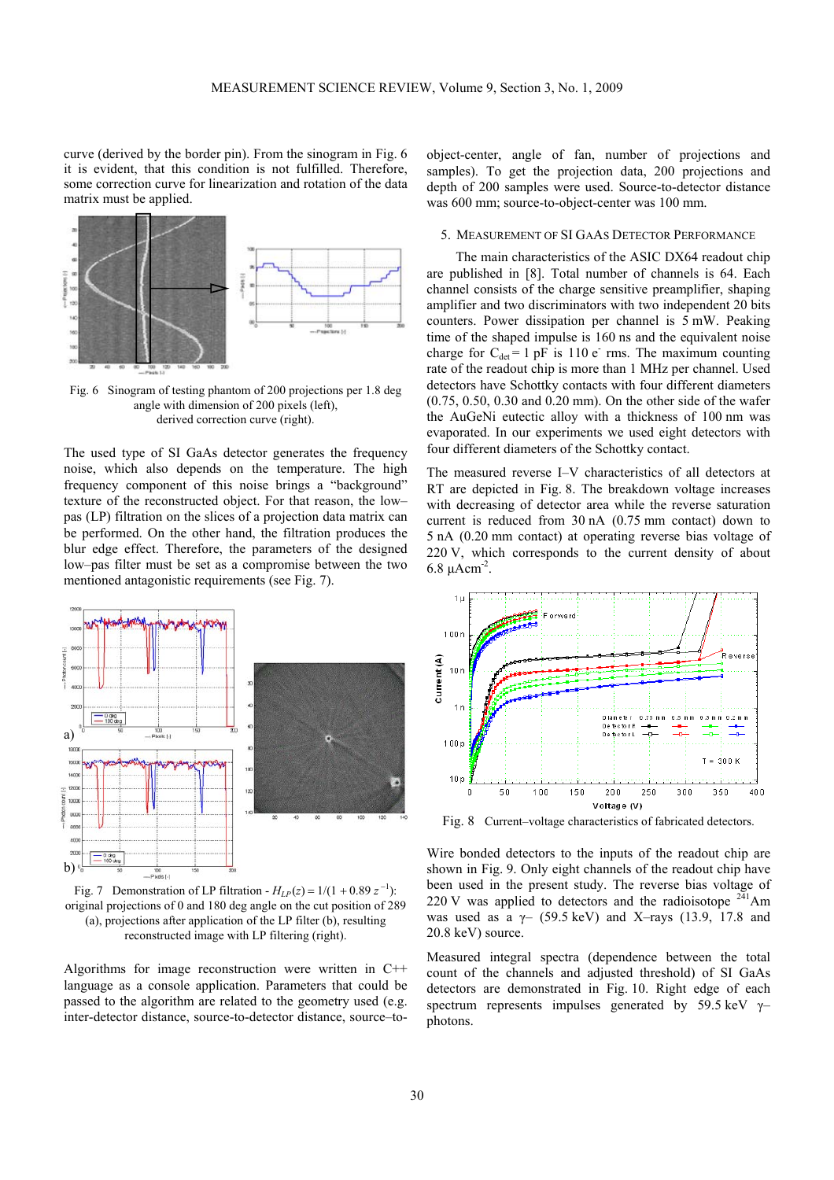curve (derived by the border pin). From the sinogram in Fig. 6 it is evident, that this condition is not fulfilled. Therefore, some correction curve for linearization and rotation of the data matrix must be applied.



Fig. 6 Sinogram of testing phantom of 200 projections per 1.8 deg angle with dimension of 200 pixels (left), derived correction curve (right).

The used type of SI GaAs detector generates the frequency noise, which also depends on the temperature. The high frequency component of this noise brings a "background" texture of the reconstructed object. For that reason, the low– pas (LP) filtration on the slices of a projection data matrix can be performed. On the other hand, the filtration produces the blur edge effect. Therefore, the parameters of the designed low–pas filter must be set as a compromise between the two mentioned antagonistic requirements (see Fig. 7).



Fig. 7 Demonstration of LP filtration -  $H_{LP}(z) = 1/(1 + 0.89 z^{-1})$ : original projections of 0 and 180 deg angle on the cut position of 289 (a), projections after application of the LP filter (b), resulting reconstructed image with LP filtering (right).

Algorithms for image reconstruction were written in C++ language as a console application. Parameters that could be passed to the algorithm are related to the geometry used (e.g. inter-detector distance, source-to-detector distance, source–to-

object-center, angle of fan, number of projections and samples). To get the projection data, 200 projections and depth of 200 samples were used. Source-to-detector distance was 600 mm; source-to-object-center was 100 mm.

## 5. MEASUREMENT OF SI GAAS DETECTOR PERFORMANCE

The main characteristics of the ASIC DX64 readout chip are published in [8]. Total number of channels is 64. Each channel consists of the charge sensitive preamplifier, shaping amplifier and two discriminators with two independent 20 bits counters. Power dissipation per channel is 5 mW. Peaking time of the shaped impulse is 160 ns and the equivalent noise charge for  $C_{\text{det}} = 1$  pF is 110 e rms. The maximum counting rate of the readout chip is more than 1 MHz per channel. Used detectors have Schottky contacts with four different diameters (0.75, 0.50, 0.30 and 0.20 mm). On the other side of the wafer the AuGeNi eutectic alloy with a thickness of 100 nm was evaporated. In our experiments we used eight detectors with four different diameters of the Schottky contact.

The measured reverse I–V characteristics of all detectors at RT are depicted in Fig. 8. The breakdown voltage increases with decreasing of detector area while the reverse saturation current is reduced from 30 nA (0.75 mm contact) down to 5 nA (0.20 mm contact) at operating reverse bias voltage of 220 V, which corresponds to the current density of about 6.8  $\mu$ Acm<sup>-2</sup>.



Fig. 8 Current–voltage characteristics of fabricated detectors.

Wire bonded detectors to the inputs of the readout chip are shown in Fig. 9. Only eight channels of the readout chip have been used in the present study. The reverse bias voltage of 220 V was applied to detectors and the radioisotope  $2\overline{4}1$ Am was used as a  $\gamma$ - (59.5 keV) and X-rays (13.9, 17.8 and 20.8 keV) source.

Measured integral spectra (dependence between the total count of the channels and adjusted threshold) of SI GaAs detectors are demonstrated in Fig. 10. Right edge of each spectrum represents impulses generated by 59.5 keV  $\gamma$ – photons.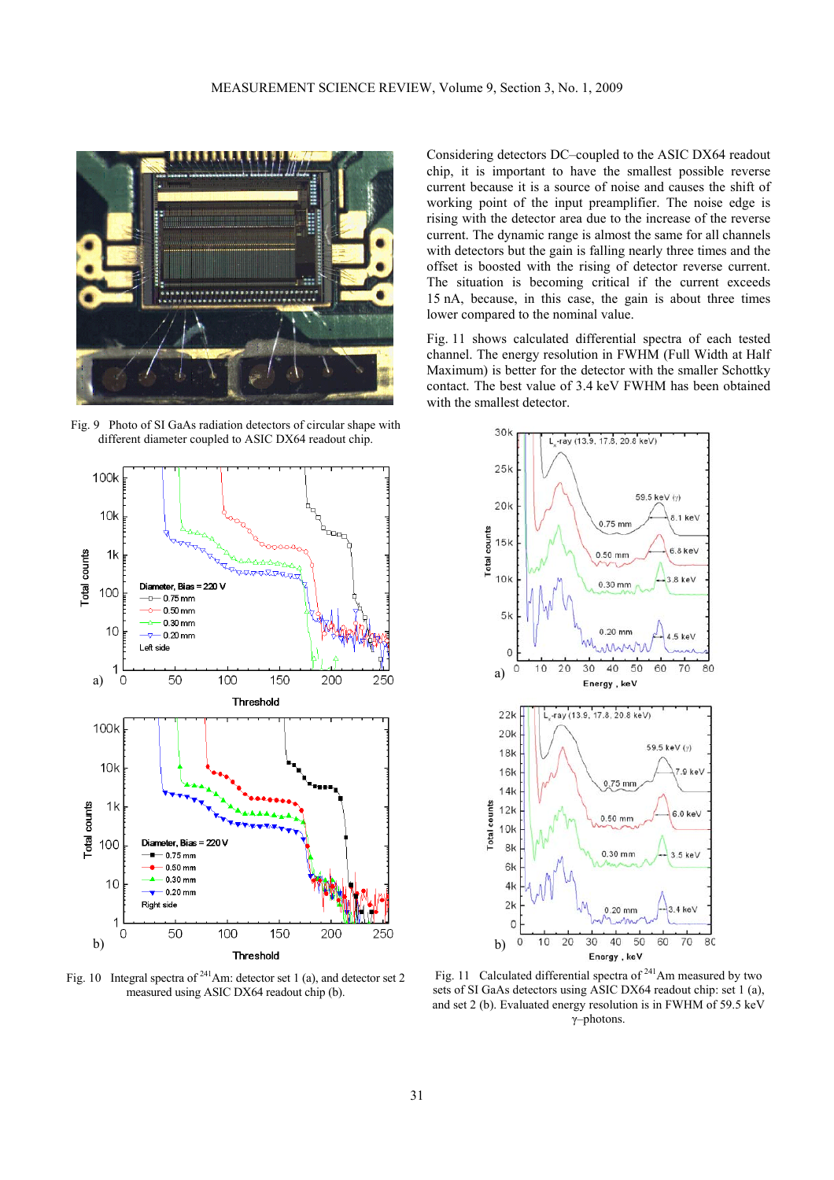

Fig. 9 Photo of SI GaAs radiation detectors of circular shape with different diameter coupled to ASIC DX64 readout chip.



Fig. 10 Integral spectra of  $2^{41}$ Am: detector set 1 (a), and detector set 2 measured using ASIC DX64 readout chip (b).

Considering detectors DC–coupled to the ASIC DX64 readout chip, it is important to have the smallest possible reverse current because it is a source of noise and causes the shift of working point of the input preamplifier. The noise edge is rising with the detector area due to the increase of the reverse current. The dynamic range is almost the same for all channels with detectors but the gain is falling nearly three times and the offset is boosted with the rising of detector reverse current. The situation is becoming critical if the current exceeds 15 nA, because, in this case, the gain is about three times lower compared to the nominal value.

Fig. 11 shows calculated differential spectra of each tested channel. The energy resolution in FWHM (Full Width at Half Maximum) is better for the detector with the smaller Schottky contact. The best value of 3.4 keV FWHM has been obtained with the smallest detector.



Fig. 11 Calculated differential spectra of <sup>241</sup>Am measured by two sets of SI GaAs detectors using ASIC DX64 readout chip: set 1 (a), and set 2 (b). Evaluated energy resolution is in FWHM of 59.5 keV γ–photons.